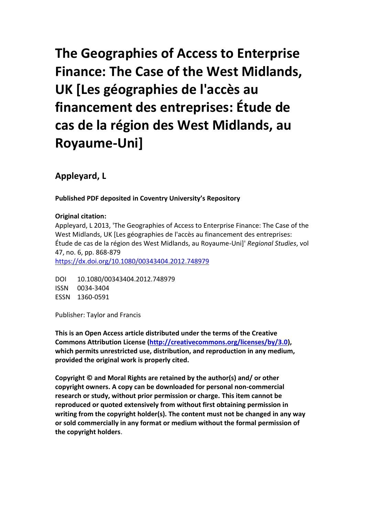**The Geographies of Access to Enterprise Finance: The Case of the West Midlands, UK [Les géographies de l'accès au financement des entreprises: Étude de cas de la région des West Midlands, au Royaume-Uni]**

**Appleyard, L**

**Published PDF deposited in Coventry University's Repository**

## **Original citation:**

Appleyard, L 2013, 'The Geographies of Access to Enterprise Finance: The Case of the West Midlands, UK [Les géographies de l'accès au financement des entreprises: Étude de cas de la région des West Midlands, au Royaume-Uni]' *Regional Studies*, vol 47, no. 6, pp. 868-879

<https://dx.doi.org/10.1080/00343404.2012.748979>

DOI 10.1080/00343404.2012.748979 ISSN 0034-3404 ESSN 1360-0591

Publisher: Taylor and Francis

**This is an Open Access article distributed under the terms of the Creative Commons Attribution License [\(http://creativecommons.org/licenses/by/3.0\)](http://creativecommons.org/licenses/by/3.0), which permits unrestricted use, distribution, and reproduction in any medium, provided the original work is properly cited.**

**Copyright © and Moral Rights are retained by the author(s) and/ or other copyright owners. A copy can be downloaded for personal non-commercial research or study, without prior permission or charge. This item cannot be reproduced or quoted extensively from without first obtaining permission in writing from the copyright holder(s). The content must not be changed in any way or sold commercially in any format or medium without the formal permission of the copyright holders**.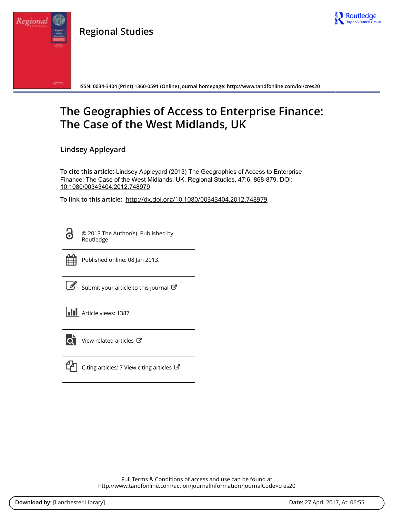

**Regional Studies**



**ISSN: 0034-3404 (Print) 1360-0591 (Online) Journal homepage:<http://www.tandfonline.com/loi/cres20>**

## **The Geographies of Access to Enterprise Finance: The Case of the West Midlands, UK**

**Lindsey Appleyard**

**To cite this article:** Lindsey Appleyard (2013) The Geographies of Access to Enterprise Finance: The Case of the West Midlands, UK, Regional Studies, 47:6, 868-879, DOI: [10.1080/00343404.2012.748979](http://www.tandfonline.com/action/showCitFormats?doi=10.1080/00343404.2012.748979)

**To link to this article:** <http://dx.doi.org/10.1080/00343404.2012.748979>

<u>ය</u>

Regiona

© 2013 The Author(s). Published by Routledge



Published online: 08 Jan 2013.

[Submit your article to this journal](http://www.tandfonline.com/action/authorSubmission?journalCode=cres20&show=instructions)  $\mathbb{Z}$ 

| <b>III</b> Article views: 1387 |  |
|--------------------------------|--|
|                                |  |



 $\overrightarrow{Q}$  [View related articles](http://www.tandfonline.com/doi/mlt/10.1080/00343404.2012.748979)  $\overrightarrow{C}$ 



 $\mathbb{C}$  [Citing articles: 7 View citing articles](http://www.tandfonline.com/doi/citedby/10.1080/00343404.2012.748979#tabModule)  $\mathbb{C}$ 

Full Terms & Conditions of access and use can be found at <http://www.tandfonline.com/action/journalInformation?journalCode=cres20>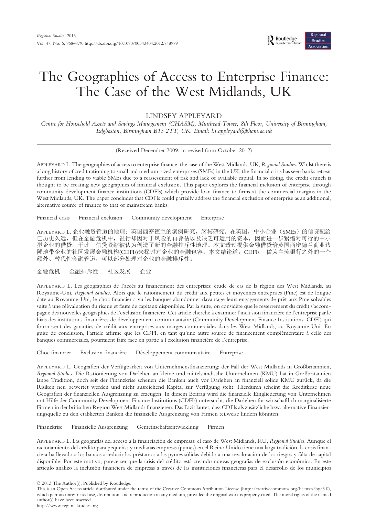# The Geographies of Access to Enterprise Finance: The Case of the West Midlands, UK

## LINDSEY APPLEYARD

Centre for Household Assets and Savings Management (CHASM), Muirhead Tower, 8th Floor, University of Birmingham, Edgbaston, Birmingham B15 2TT, UK. Email: l.j.appleyard@bham.ac.uk

(Received December 2009: in revised form October 2012)

APPLEYARD L. The geographies of access to enterprise finance: the case of the West Midlands, UK, Regional Studies. Whilst there is a long history of credit rationing to small and medium-sized enterprises (SMEs) in the UK, the financial crisis has seen banks retreat further from lending to viable SMEs due to a reassessment of risk and lack of available capital. In so doing, the credit crunch is thought to be creating new geographies of financial exclusion. This paper explores the financial inclusion of enterprise through community development finance institutions (CDFIs) which provide loan finance to firms at the commercial margins in the West Midlands, UK. The paper concludes that CDFIs could partially address the financial exclusion of enterprise as an additional, alternative source of finance to that of mainstream banks.

Financial crisis Financial exclusion Community development Enterprise

APPLEYARD L. 企业融资管道的地理:英国西密德兰的案例研究,区域研究。在英国,中小企业(SMEs)的信贷配给 已历史久远,但在金融危机中,银行却因对于风险的再评估以及缺乏可运用的资本,因而进一步紧缩对可行的中小 型企业的借贷。于此,信贷紧缩被认为创造了新的金融排斥性地理。本文透过提供金融借贷给英国西密德兰商业边 陲地带企业的社区发展金融机构(CDFIs)来探讨对企业的金融包容。本文结论道:CDFIs 做为主流银行之外的一个 额外、替代性金融管道,可以部分处理对企业的金融排斥性。

金融危机 金融排斥性 社区发展 企业

APPLEYARD L. Les géographies de l'accès au financement des entreprises: étude de cas de la région des West Midlands, au Royaume-Uni, Regional Studies. Alors que le rationnement du crédit aux petites et moyennes entreprises (Pme) est de longue date au Royaume-Uni, le choc financier a vu les banques abandonner davantage leurs engagements de prêt aux Pme solvables suite à une réévaluation du risque et faute de capitaux disponibles. Par la suite, on considère que le resserrement du crédit s'accompagne des nouvelles géographies de l'exclusion financière. Cet article cherche à examiner l'inclusion financière de l'entreprise par le biais des institutions financières de développement communautaire (Community Development Finance Institutions: CDFI) qui fournissent des garanties de crédit aux entreprises aux marges commerciales dans les West Midlands, au Royaume-Uni. En guise de conclusion, l'article affirme que les CDFI, en tant qu'une autre source de financement complémentaire à celle des banques commerciales, pourraient faire face en partie à l'exclusion financière de l'entreprise.

Choc financier Exclusion financière Développement communautaire Entreprise

APPLEYARD L. Geografien der Verfügbarkeit von Unternehmensfinanzierung: der Fall der West Midlands in Großbritannien, Regional Studies. Die Rationierung von Darlehen an kleine und mittelständische Unternehmen (KMU) hat in Großbritannien lange Tradition, doch seit der Finanzkrise scheuen die Banken auch vor Darlehen an finanziell solide KMU zurück, da die Risiken neu bewertet werden und nicht ausreichend Kapital zur Verfügung steht. Hierdurch scheint die Kreditkrise neue Geografien der finanziellen Ausgrenzung zu erzeugen. In diesem Beitrag wird die finanzielle Eingliederung von Unternehmen mit Hilfe der Community Development Finance Institutions (CDFIs) untersucht, die Darlehen für wirtschaftlich marginalisierte Firmen in der britischen Region West Midlands finanzieren. Das Fazit lautet, dass CDFIs als zusätzliche bzw. alternative Finanzierungsquelle zu den etablierten Banken die finanzielle Ausgrenzung von Firmen teilweise lindern könnten.

Finanzkrise Finanzielle Ausgrenzung Gemeinschaftsentwicklung Firmen

APPLEYARD L. Las geografías del acceso a la financiación de empresas: el caso de West Midlands, RU, Regional Studies. Aunque el racionamiento del crédito para pequeñas y medianas empresas (pymes) en el Reino Unido tiene una larga tradición, la crisis financiera ha llevado a los bancos a reducir los préstamos a las pymes sólidas debido a una revaloración de los riesgos y falta de capital disponible. Por este motivo, parece ser que la crisis del crédito está creando nuevas geografías de exclusión económica. En este artículo analizo la inclusión financiera de empresas a través de las instituciones financieras para el desarrollo de los municipios

© 2013 The Author(s). Published by Routledge.

This is an Open Access article distributed under the terms of the Creative Commons Attribution License (http://creativecommons.org/licenses/by/3.0), which permits unrestricted use, distribution, and reproduction in any medium, provided the original work is properly cited. The moral rights of the named author(s) have been asserted. http://www.regionalstudies.org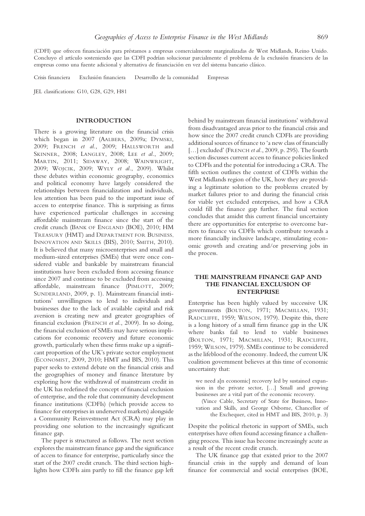(CDFI) que ofrecen financiación para préstamos a empresas comercialmente marginalizadas de West Midlands, Reino Unido. Concluyo el artículo sosteniendo que las CDFI podrían solucionar parcialmente el problema de la exclusión financiera de las empresas como una fuente adicional y alternativa de financiación en vez del sistema bancario clásico.

Crisis financiera Exclusión financiera Desarrollo de la comunidad Empresas

JEL classifications: G10, G28, G29, H81

#### INTRODUCTION

There is a growing literature on the financial crisis which began in 2007 (AALBERS, 2009a; DYMSKI, 2009; FRENCH et al., 2009; HALLSWORTH and SKINNER, 2008; LANGLEY, 2008; LEE et al., 2009; MARTIN, 2011; SIDAWAY, 2008; WAINWRIGHT, 2009; WOJCIK, 2009; WYLY et al., 2009). Whilst these debates within economic geography, economics and political economy have largely considered the relationships between financialization and individuals, less attention has been paid to the important issue of access to enterprise finance. This is surprising as firms have experienced particular challenges in accessing affordable mainstream finance since the start of the credit crunch (BANK OF ENGLAND (BOE), 2010; HM TREASURY (HMT) and DEPARTMENT FOR BUSINESS, INNOVATION AND SKILLS (BIS), 2010; SMITH, 2010). It is believed that many microenterprises and small and medium-sized enterprises (SMEs) that were once considered viable and bankable by mainstream financial institutions have been excluded from accessing finance since 2007 and continue to be excluded from accessing affordable, mainstream finance (PIMLOTT, 2009; SUNDERLAND, 2009, p. 1). Mainstream financial institutions' unwillingness to lend to individuals and businesses due to the lack of available capital and risk aversion is creating new and greater geographies of financial exclusion (FRENCH et al., 2009). In so doing, the financial exclusion of SMEs may have serious implications for economic recovery and future economic growth, particularly when these firms make up a significant proportion of the UK's private sector employment (ECONOMIST, 2009, 2010; HMT and BIS, 2010). This paper seeks to extend debate on the financial crisis and the geographies of money and finance literature by exploring how the withdrawal of mainstream credit in the UK has redefined the concept of financial exclusion of enterprise, and the role that community development finance institutions (CDFIs) (which provide access to finance for enterprises in underserved markets) alongside a Community Reinvestment Act (CRA) may play in providing one solution to the increasingly significant finance gap.

The paper is structured as follows. The next section explores the mainstream finance gap and the significance of access to finance for enterprise, particularly since the start of the 2007 credit crunch. The third section highlights how CDFIs aim partly to fill the finance gap left

behind by mainstream financial institutions' withdrawal from disadvantaged areas prior to the financial crisis and how since the 2007 credit crunch CDFIs are providing additional sources of finance to 'a new class of financially [...] excluded' (FRENCH et al., 2009, p. 295). The fourth section discusses current access to finance policies linked to CDFIs and the potential for introducing a CRA. The fifth section outlines the context of CDFIs within the West Midlands region of the UK, how they are providing a legitimate solution to the problems created by market failures prior to and during the financial crisis for viable yet excluded enterprises, and how a CRA could fill the finance gap further. The final section concludes that amidst this current financial uncertainty there are opportunities for enterprise to overcome barriers to finance via CDFIs which contribute towards a more financially inclusive landscape, stimulating economic growth and creating and/or preserving jobs in the process.

#### THE MAINSTREAM FINANCE GAP AND THE FINANCIAL EXCLUSION OF ENTERPRISE

Enterprise has been highly valued by successive UK governments (BOLTON, 1971; MACMILLAN, 1931; RADCLIFFE, 1959; WILSON, 1979). Despite this, there is a long history of a small firm finance gap in the UK where banks fail to lend to viable businesses (BOLTON, 1971; MACMILLAN, 1931; RADCLIFFE, 1959; WILSON, 1979). SMEs continue to be considered as the lifeblood of the economy. Indeed, the current UK coalition government believes at this time of economic uncertainty that:

we need a[n economic] recovery led by sustained expansion in the private sector, […] Small and growing businesses are a vital part of the economic recovery.

(Vince Cable, Secretary of State for Business, Innovation and Skills, and George Osborne, Chancellor of the Exchequer, cited in HMT and BIS, 2010, p. 3)

Despite the political rhetoric in support of SMEs, such enterprises have often found accessing finance a challenging process. This issue has become increasingly acute as a result of the recent credit crunch.

The UK finance gap that existed prior to the 2007 financial crisis in the supply and demand of loan finance for commercial and social enterprises (BOE,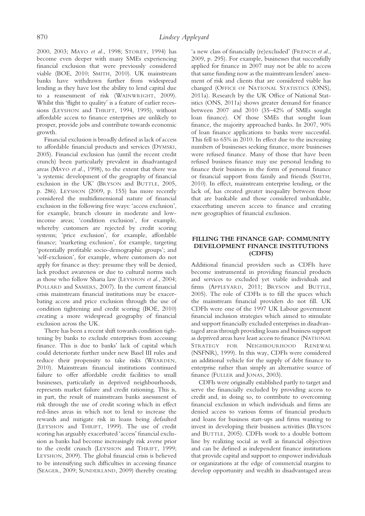2000, 2003; MAYO et al., 1998; STOREY, 1994) has become even deeper with many SMEs experiencing financial exclusion that were previously considered viable (BOE, 2010; SMITH, 2010). UK mainstream banks have withdrawn further from widespread lending as they have lost the ability to lend capital due to a reassessment of risk (WAINWRIGHT, 2009). Whilst this 'flight to quality' is a feature of earlier recessions (LEYSHON and THRIFT, 1994, 1995), without affordable access to finance enterprises are unlikely to prosper, provide jobs and contribute towards economic growth.

Financial exclusion is broadly defined as lack of access to affordable financial products and services (DYMSKI, 2005). Financial exclusion has (until the recent credit crunch) been particularly prevalent in disadvantaged areas (MAYO et al., 1998), to the extent that there was 'a systemic development of the geography of financial exclusion in the UK' (BRYSON and BUTTLE, 2005, p. 286). LEYSHON (2009, p. 155) has more recently considered the multidimensional nature of financial exclusion in the following five ways: 'access exclusion', for example, branch closure in moderate and lowincome areas; 'condition exclusion', for example, whereby customers are rejected by credit scoring systems; 'price exclusion', for example, affordable finance; 'marketing exclusion', for example, targeting 'potentially profitable socio-demographic groups'; and 'self-exclusion', for example, where customers do not apply for finance as they: presume they will be denied, lack product awareness or due to cultural norms such as those who follow Sharia law (LEYSHON et al., 2004; POLLARD and SAMERS, 2007). In the current financial crisis mainstream financial institutions may be exacerbating access and price exclusion through the use of condition tightening and credit scoring (BOE, 2010) creating a more widespread geography of financial exclusion across the UK.

There has been a recent shift towards condition tightening by banks to exclude enterprises from accessing finance. This is due to banks' lack of capital which could deteriorate further under new Basel III rules and reduce their propensity to take risks (WEARDEN, 2010). Mainstream financial institutions continued failure to offer affordable credit facilities to small businesses, particularly in deprived neighbourhoods, represents market failure and credit rationing. This is, in part, the result of mainstream banks assessment of risk through the use of credit scoring which in effect red-lines areas in which not to lend to increase the rewards and mitigate risk in loans being defaulted (LEYSHON and THRIFT, 1999). The use of credit scoring has arguably exacerbated 'access' financial exclusion as banks had become increasingly risk averse prior to the credit crunch (LEYSHON and THRIFT, 1999; LEYSHON, 2009). The global financial crisis is believed to be intensifying such difficulties in accessing finance (SEAGER, 2009; SUNDERLAND, 2009) thereby creating

'a new class of financially (re)excluded' (FRENCH et al., 2009, p. 295). For example, businesses that successfully applied for finance in 2007 may not be able to access that same funding now as the mainstream lenders' assessment of risk and clients that are considered viable has changed (OFFICE OF NATIONAL STATISTICS (ONS), 2011a). Research by the UK Office of National Statistics (ONS, 2011a) shows greater demand for finance between 2007 and 2010 (35–42% of SMEs sought loan finance). Of those SMEs that sought loan finance, the majority approached banks. In 2007, 90% of loan finance applications to banks were successful. This fell to 65% in 2010. In effect due to the increasing numbers of businesses seeking finance, more businesses were refused finance. Many of those that have been refused business finance may use personal lending to finance their business in the form of personal finance or financial support from family and friends (SMITH, 2010). In effect, mainstream enterprise lending, or the lack of, has created greater inequality between those that are bankable and those considered unbankable, exacerbating uneven access to finance and creating new geographies of financial exclusion.

#### FILLING THE FINANCE GAP: COMMUNITY DEVELOPMENT FINANCE INSTITUTIONS (CDFIS)

Additional financial providers such as CDFIs have become instrumental in providing financial products and services to excluded yet viable individuals and firms (APPLEYARD, 2011; BRYSON and BUTTLE, 2005). The role of CDFIs is to fill the spaces which the mainstream financial providers do not fill. UK CDFIs were one of the 1997 UK Labour government financial inclusion strategies which aimed to stimulate and support financially excluded enterprises in disadvantaged areas through providing loans and business support as deprived areas have least access to finance (NATIONAL STRATEGY FOR NEIGHBOURHOOD RENEWAL (NSFNR), 1999). In this way, CDFIs were considered an additional vehicle for the supply of debt finance to enterprise rather than simply an alternative source of finance (FULLER and JONAS, 2003).

CDFIs were originally established partly to target and serve the financially excluded by providing access to credit and, in doing so, to contribute to overcoming financial exclusion in which individuals and firms are denied access to various forms of financial products and loans for business start-ups and firms wanting to invest in developing their business activities (BRYSON and BUTTLE, 2005). CDFIs work to a double bottom line by realizing social as well as financial objectives and can be defined as independent finance institutions that provide capital and support to empower individuals or organizations at the edge of commercial margins to develop opportunity and wealth in disadvantaged areas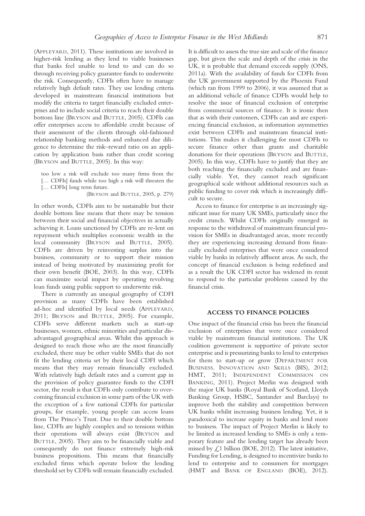(APPLEYARD, 2011). These institutions are involved in higher-risk lending as they lend to viable businesses that banks feel unable to lend to and can do so through receiving policy guarantee funds to underwrite the risk. Consequently, CDFIs often have to manage relatively high default rates. They use lending criteria developed in mainstream financial institutions but modify the criteria to target financially excluded enterprises and to include social criteria to reach their double bottom line (BRYSON and BUTTLE, 2005). CDFIs can offer enterprises access to affordable credit because of their assessment of the clients through old-fashioned relationship banking methods and enhanced due diligence to determine the risk–reward ratio on an application by application basis rather than credit scoring (BRYSON and BUTTLE, 2005). In this way:

too low a risk will exclude too many firms from the [... CDFIs] funds while too high a risk will threaten the [… CDFIs] long term future.

(BRYSON and BUTTLE, 2005, p. 279)

In other words, CDFIs aim to be sustainable but their double bottom line means that there may be tension between their social and financial objectives in actually achieving it. Loans sanctioned by CDFIs are re-lent on repayment which multiplies economic wealth in the local community (BRYSON and BUTTLE, 2005). CDFIs are driven by reinvesting surplus into the business, community or to support their mission instead of being motivated by maximizing profit for their own benefit (BOE, 2003). In this way, CDFIs can maximize social impact by operating revolving loan funds using public support to underwrite risk.

There is currently an unequal geography of CDFI provision as many CDFIs have been established ad-hoc and identified by local needs (APPLEYARD, 2011; BRYSON and BUTTLE, 2005). For example, CDFIs serve different markets such as start-up businesses, women, ethnic minorities and particular disadvantaged geographical areas. Whilst this approach is designed to reach those who are the most financially excluded, there may be other viable SMEs that do not fit the lending criteria set by their local CDFI which means that they may remain financially excluded. With relatively high default rates and a current gap in the provision of policy guarantee funds to the CDFI sector, the result is that CDFIs only contribute to overcoming financial exclusion in some parts of the UK with the exception of a few national CDFIs for particular groups, for example, young people can access loans from The Prince's Trust. Due to their double bottom line, CDFIs are highly complex and so tensions within their operations will always exist (BRYSON and BUTTLE, 2005). They aim to be financially viable and consequently do not finance extremely high-risk business propositions. This means that financially excluded firms which operate below the lending threshold set by CDFIs will remain financially excluded.

It is difficult to assess the true size and scale of the finance gap, but given the scale and depth of the crisis in the UK, it is probable that demand exceeds supply (ONS, 2011a). With the availability of funds for CDFIs from the UK government supported by the Phoenix Fund (which ran from 1999 to 2006), it was assumed that as an additional vehicle of finance CDFIs would help to resolve the issue of financial exclusion of enterprise from commercial sources of finance. It is ironic then that as with their customers, CDFIs can and are experiencing financial exclusion, as information asymmetries exist between CDFIs and mainstream financial institutions. This makes it challenging for most CDFIs to secure finance other than grants and charitable donations for their operations (BRYSON and BUTTLE, 2005). In this way, CDFIs have to justify that they are both reaching the financially excluded and are financially viable. Yet, they cannot reach significant geographical scale without additional resources such as public funding to cover risk which is increasingly difficult to secure.

Access to finance for enterprise is an increasingly significant issue for many UK SMEs, particularly since the credit crunch. Whilst CDFIs originally emerged in response to the withdrawal of mainstream financial provision for SMEs in disadvantaged areas, more recently they are experiencing increasing demand from financially excluded enterprises that were once considered viable by banks in relatively affluent areas. As such, the concept of financial exclusion is being redefined and as a result the UK CDFI sector has widened its remit to respond to the particular problems caused by the financial crisis.

#### ACCESS TO FINANCE POLICIES

One impact of the financial crisis has been the financial exclusion of enterprises that were once considered viable by mainstream financial institutions. The UK coalition government is supportive of private sector enterprise and is pressurizing banks to lend to enterprises for them to start-up or grow (DEPARTMENT FOR BUSINESS, INNOVATION AND SKILLS (BIS), 2012; HMT, 2011; INDEPENDENT COMMISSION ON BANKING, 2011). Project Merlin was designed with the major UK banks (Royal Bank of Scotland, Lloyds Banking Group, HSBC, Santander and Barclays) to improve both the stability and competition between UK banks whilst increasing business lending. Yet, it is paradoxical to increase equity in banks and lend more to business. The impact of Project Merlin is likely to be limited as increased lending to SMEs is only a temporary feature and the lending target has already been missed by  $\angle$ 1 billion (BOE, 2012). The latest initiative, Funding for Lending, is designed to incentivize banks to lend to enterprise and to consumers for mortgages (HMT and BANK OF ENGLAND (BOE), 2012).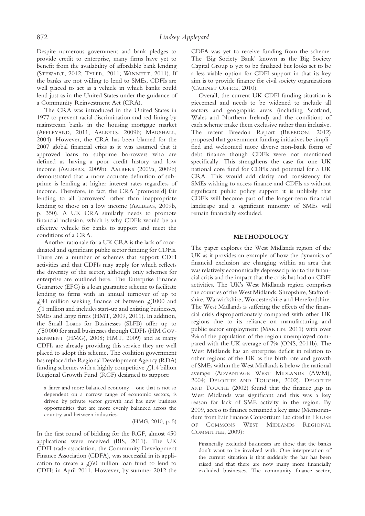Despite numerous government and bank pledges to provide credit to enterprise, many firms have yet to benefit from the availability of affordable bank lending (STEWART, 2012; TYLER, 2011; WINNETT, 2011). If the banks are not willing to lend to SMEs, CDFIs are well placed to act as a vehicle in which banks could lend just as in the United States under the guidance of a Community Reinvestment Act (CRA).

The CRA was introduced in the United States in 1977 to prevent racial discrimination and red-lining by mainstream banks in the housing mortgage market (APPLEYARD, 2011, AALBERS, 2009b; MARSHALL, 2004). However, the CRA has been blamed for the 2007 global financial crisis as it was assumed that it approved loans to subprime borrowers who are defined as having a poor credit history and low income (AALBERS, 2009b). AALBERS (2009a, 2009b) demonstrated that a more accurate definition of subprime is lending at higher interest rates regardless of income. Therefore, in fact, the CRA 'promote[d] fair lending to all borrowers' rather than inappropriate lending to those on a low income (AALBERS, 2009b, p. 350). A UK CRA similarly needs to promote financial inclusion, which is why CDFIs would be an effective vehicle for banks to support and meet the conditions of a CRA.

Another rationale for a UK CRA is the lack of coordinated and significant public sector funding for CDFIs. There are a number of schemes that support CDFI activities and that CDFIs may apply for which reflects the diversity of the sector, although only schemes for enterprise are outlined here. The Enterprise Finance Guarantee (EFG) is a loan guarantee scheme to facilitate lending to firms with an annual turnover of up to £,41 million seeking finance of between £,1000 and  $\angle$ ,1 million and includes start-up and existing businesses, SMEs and large firms (HMT, 2009, 2011). In addition, the Small Loans for Businesses (SLFB) offer up to £50 000 for small businesses through CDFIs (HM GOV-ERNMENT (HMG), 2008; HMT, 2009) and as many CDFIs are already providing this service they are well placed to adopt this scheme. The coalition government has replaced the Regional Development Agency (RDA) funding schemes with a highly competitive  $\mathcal{L}$  1.4 billion Regional Growth Fund (RGF) designed to support:

a fairer and more balanced economy – one that is not so dependent on a narrow range of economic sectors, is driven by private sector growth and has new business opportunities that are more evenly balanced across the country and between industries.

(HMG, 2010, p. 5)

In the first round of bidding for the RGF, almost 450 applications were received (BIS, 2011). The UK CDFI trade association, the Community Development Finance Association (CDFA), was successful in its application to create a  $\mathcal{L}$ ,60 million loan fund to lend to CDFIs in April 2011. However, by summer 2012 the

CDFA was yet to receive funding from the scheme. The 'Big Society Bank' known as the Big Society Capital Group is yet to be finalized but looks set to be a less viable option for CDFI support in that its key aim is to provide finance for civil society organizations (CABINET OFFICE, 2010).

Overall, the current UK CDFI funding situation is piecemeal and needs to be widened to include all sectors and geographic areas (including Scotland, Wales and Northern Ireland) and the conditions of each scheme make them exclusive rather than inclusive. The recent Breedon Report (BREEDON, 2012) proposed that government funding initiatives be simplified and welcomed more diverse non-bank forms of debt finance though CDFIs were not mentioned specifically. This strengthens the case for one UK national core fund for CDFIs and potential for a UK CRA. This would add clarity and consistency for SMEs wishing to access finance and CDFIs as without significant public policy support it is unlikely that CDFIs will become part of the longer-term financial landscape and a significant minority of SMEs will remain financially excluded.

#### METHODOLOGY

The paper explores the West Midlands region of the UK as it provides an example of how the dynamics of financial exclusion are changing within an area that was relatively economically depressed prior to the financial crisis and the impact that the crisis has had on CDFI activities. The UK's West Midlands region comprises the counties of the West Midlands, Shropshire, Staffordshire, Warwickshire, Worcestershire and Herefordshire. The West Midlands is suffering the effects of the financial crisis disproportionately compared with other UK regions due to its reliance on manufacturing and public sector employment (MARTIN, 2011) with over 9% of the population of the region unemployed compared with the UK average of 7% (ONS, 2011b). The West Midlands has an enterprise deficit in relation to other regions of the UK as the birth rate and growth of SMEs within the West Midlands is below the national average (ADVANTAGE WEST MIDLANDS (AWM), 2004; DELOITTE AND TOUCHE, 2002). DELOITTE AND TOUCHE (2002) found that the finance gap in West Midlands was significant and this was a key reason for lack of SME activity in the region. By 2009, access to finance remained a key issue (Memorandum from Fair Finance Consortium Ltd cited in HOUSE OF COMMONS WEST MIDLANDS REGIONAL COMMITTEE, 2009):

Financially excluded businesses are those that the banks don't want to be involved with. One interpretation of the current situation is that suddenly the bar has been raised and that there are now many more financially excluded businesses. The community finance sector,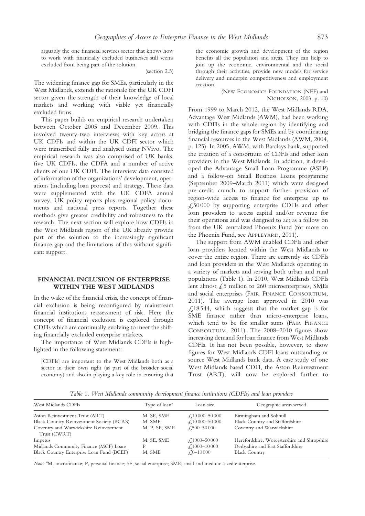arguably the one financial services sector that knows how to work with financially excluded businesses still seems excluded from being part of the solution.

(section 2.5)

The widening finance gap for SMEs, particularly in the West Midlands, extends the rationale for the UK CDFI sector given the strength of their knowledge of local markets and working with viable yet financially excluded firms.

This paper builds on empirical research undertaken between October 2005 and December 2009. This involved twenty-two interviews with key actors at UK CDFIs and within the UK CDFI sector which were transcribed fully and analysed using NVivo. The empirical research was also comprised of UK banks, five UK CDFIs, the CDFA and a number of active clients of one UK CDFI. The interview data consisted of information of the organizations' development, operations (including loan process) and strategy. These data were supplemented with the UK CDFA annual survey, UK policy reports plus regional policy documents and national press reports. Together these methods give greater credibility and robustness to the research. The next section will explore how CDFIs in the West Midlands region of the UK already provide part of the solution to the increasingly significant finance gap and the limitations of this without significant support.

#### FINANCIAL INCLUSION OF ENTERPRISE WITHIN THE WEST MIDLANDS

In the wake of the financial crisis, the concept of financial exclusion is being reconfigured by mainstream financial institutions reassessment of risk. Here the concept of financial exclusion is explored through CDFIs which are continually evolving to meet the shifting financially excluded enterprise markets.

The importance of West Midlands CDFIs is highlighted in the following statement:

[CDFIs] are important to the West Midlands both as a sector in their own right (as part of the broader social economy) and also in playing a key role in ensuring that

the economic growth and development of the region benefits all the population and areas. They can help to join up the economic, environmental and the social through their activities, provide new models for service delivery and underpin competitiveness and employment creation.

> (NEW ECONOMICS FOUNDATION (NEF) and NICHOLSON, 2003, p. 10)

From 1999 to March 2012, the West Midlands RDA, Advantage West Midlands (AWM), had been working with CDFIs in the whole region by identifying and bridging the finance gaps for SMEs and by coordinating financial resources in the West Midlands (AWM, 2004, p. 125). In 2005, AWM, with Barclays bank, supported the creation of a consortium of CDFIs and other loan providers in the West Midlands. In addition, it developed the Advantage Small Loan Programme (ASLP) and a follow-on Small Business Loans programme (September 2009–March 2011) which were designed pre-credit crunch to support further provision of region-wide access to finance for enterprise up to  $\angle 50000$  by supporting enterprise CDFIs and other loan providers to access capital and/or revenue for their operations and was designed to act as a follow on from the UK centralized Phoenix Fund (for more on the Phoenix Fund, see APPLEYARD, 2011).

The support from AWM enabled CDFIs and other loan providers located within the West Midlands to cover the entire region. There are currently six CDFIs and loan providers in the West Midlands operating in a variety of markets and serving both urban and rural populations (Table 1). In 2010, West Midlands CDFIs lent almost  $\sqrt{25}$  million to 260 microenterprises, SMEs and social enterprises (FAIR FINANCE CONSORTIUM, 2011). The average loan approved in 2010 was  $\angle$  (18544, which suggests that the market gap is for SME finance rather than micro-enterprise loans, which tend to be for smaller sums (FAIR FINANCE CONSORTIUM, 2011). The 2008–2010 figures show increasing demand for loan finance from West Midlands CDFIs. It has not been possible, however, to show figures for West Midlands CDFI loans outstanding or source West Midlands bank data. A case study of one West Midlands based CDFI, the Aston Reinvestment Trust (ART), will now be explored further to

Table 1. West Midlands community development finance institutions (CDFIs) and loan providers

| West Midlands CDFIs                                                                            | Type of loan <sup>a</sup> | Loan size                                                  | Geographic areas served                                                                                   |
|------------------------------------------------------------------------------------------------|---------------------------|------------------------------------------------------------|-----------------------------------------------------------------------------------------------------------|
| Aston Reinvestment Trust (ART)<br><b>Black Country Reinvestment Society (BCRS)</b>             | M, SE, SME<br>M, SME      | £,10000-50000<br>£,10000-50000                             | Birmingham and Solihull<br>Black Country and Staffordshire                                                |
| Coventry and Warwickshire Reinvestment<br>Trust (CWRT)                                         | M, P, SE, SME             | $\angle 500 - 50000$                                       | Coventry and Warwickshire                                                                                 |
| Impetus<br>Midlands Community Finance (MCF) Loans<br>Black Country Enterprise Loan Fund (BCEF) | M, SE, SME<br>D<br>M, SME | £,1000-50 000<br>$\angle 1000 - 10000$<br>$\angle 0-10000$ | Herefordshire, Worcestershire and Shropshire<br>Derbyshire and East Staffordshire<br><b>Black Country</b> |

Note: <sup>a</sup>M, microfinance; P, personal finance; SE, social enterprise; SME, small and medium-sized enterprise.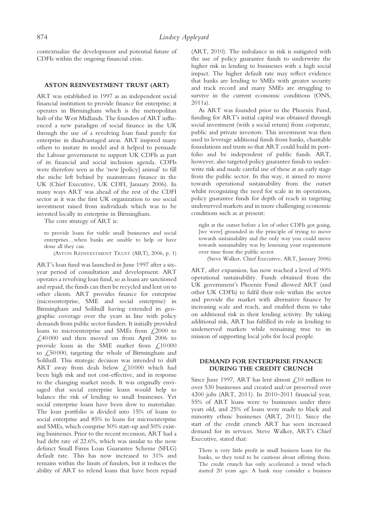contextualize the development and potential future of CDFIs within the ongoing financial crisis.

#### ASTON REINVESTMENT TRUST (ART)

ART was established in 1997 as an independent social financial institution to provide finance for enterprise; it operates in Birmingham which is the metropolitan hub of the West Midlands. The founders of ART influenced a new paradigm of social finance in the UK through the use of a revolving loan fund purely for enterprise in disadvantaged areas. ART inspired many others to imitate its model and it helped to persuade the Labour government to support UK CDFIs as part of its financial and social inclusion agenda. CDFIs were therefore seen as the 'new [policy] animal' to fill the niche left behind by mainstream finance in the UK (Chief Executive, UK CDFI, January 2006). In many ways ART was ahead of the rest of the CDFI sector as it was the first UK organization to use social investment raised from individuals which was to be invested locally in enterprise in Birmingham.

The core strategy of ART is:

to provide loans for viable small businesses and social enterprises…when banks are unable to help or have done all they can.

(ASTON REINVESTMENT TRUST (ART), 2006, p. 1)

ART's loan fund was launched in June 1997 after a sixyear period of consultation and development. ART operates a revolving loan fund, so as loans are sanctioned and repaid, the funds can then be recycled and lent on to other clients. ART provides finance for enterprise (microenterprise, SME and social enterprise) in Birmingham and Solihull having extended its geographic coverage over the years in line with policy demands from public sector funders. It initially provided loans to microenterprise and SMEs from  $\text{\textsterling,2000}$  to £40 000 and then moved on from April 2006 to provide loans in the SME market from  $\text{\emph{f}}$ ,10000 to £50000, targeting the whole of Birmingham and Solihull. This strategic decision was intended to shift ART away from deals below £10000 which had been high risk and not cost-effective, and in response to the changing market needs. It was originally envisaged that social enterprise loans would help to balance the risk of lending to small businesses. Yet social enterprise loans have been slow to materialize. The loan portfolio is divided into 15% of loans to social enterprise and 85% to loans for microenterprise and SMEs, which comprise 50% start-up and 50% existing businesses. Prior to the recent recession, ART had a bad debt rate of 22.6%, which was similar to the now defunct Small Firms Loan Guarantee Scheme (SFLG) default rate. This has now increased to 31% and remains within the limits of funders, but it reduces the ability of ART to relend loans that have been repaid

(ART, 2010). The imbalance in risk is mitigated with the use of policy guarantee funds to underwrite the higher risk in lending to businesses with a high social impact. The higher default rate may reflect evidence that banks are lending to SMEs with greater security and track record and many SMEs are struggling to survive in the current economic conditions (ONS, 2011a).

As ART was founded prior to the Phoenix Fund, funding for ART's initial capital was obtained through social investment (with a social return) from corporate, public and private investors. This investment was then used to leverage additional funds from banks, charitable foundations and trusts so that ART could build its portfolio and be independent of public funds. ART, however, also targeted policy guarantee funds to underwrite risk and made careful use of these at an early stage from the public sector. In this way, it aimed to move towards operational sustainability from the outset whilst recognizing the need for scale in its operations, policy guarantee funds for depth of reach in targeting underserved markets and in more challenging economic conditions such as at present:

right at the outset before a lot of other CDFIs got going, [we were] grounded in the principle of trying to move towards sustainability and the only way you could move towards sustainability was by lessening your requirement over time from the public sector.

(Steve Walker, Chief Executive, ART, January 2006)

ART, after expansion, has now reached a level of 90% operational sustainability. Funds obtained from the UK government's Phoenix Fund allowed ART (and other UK CDFIs) to fulfil their role within the sector and provide the market with alternative finance by increasing scale and reach, and enabled them to take on additional risk in their lending activity. By taking additional risk, ART has fulfilled its role in lending to underserved markets while remaining true to its mission of supporting local jobs for local people.

#### DEMAND FOR ENTERPRISE FINANCE DURING THE CREDIT CRUNCH

Since June 1997, ART has lent almost  $\mathcal{L}$ 10 million to over 530 businesses and created and/or preserved over 4200 jobs (ART, 2011). In 2010–2011 financial year, 55% of ART loans were to businesses under three years old, and 25% of loans were made to black and minority ethnic businesses (ART, 2011). Since the start of the credit crunch ART has seen increased demand for its services. Steve Walker, ART's Chief Executive, stated that:

There is very little profit in small business loans for the banks, so they tend to be cautious about offering them. The credit crunch has only accelerated a trend which started 20 years ago. A bank may consider a business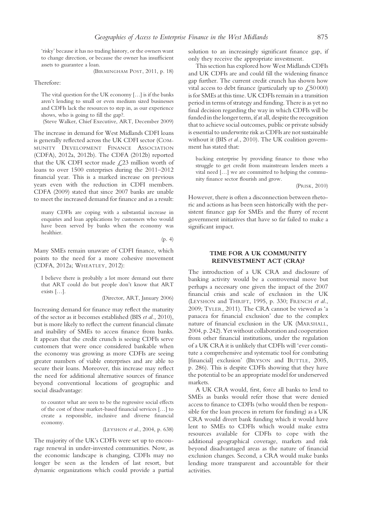'risky' because it has no trading history, or the owners want to change direction, or because the owner has insufficient assets to guarantee a loan.

(BIRMINGHAM POST, 2011, p. 18)

Therefore:

The vital question for the UK economy […] is if the banks aren't lending to small or even medium sized businesses and CDFIs lack the resources to step in, as our experience shows, who is going to fill the gap?.

(Steve Walker, Chief Executive, ART, December 2009)

The increase in demand for West Midlands CDFI loans is generally reflected across the UK CDFI sector (COM-MUNITY DEVELOPMENT FINANCE ASSOCIATION (CDFA), 2012a, 2012b). The CDFA (2012b) reported that the UK CDFI sector made  $\angle$ 23 million worth of loans to over 1500 enterprises during the 2011–2012 financial year. This is a marked increase on previous years even with the reduction in CDFI members. CDFA (2009) stated that since 2007 banks are unable to meet the increased demand for finance and as a result:

many CDFIs are coping with a substantial increase in enquiries and loan applications by customers who would have been served by banks when the economy was healthier.

(p. 4)

Many SMEs remain unaware of CDFI finance, which points to the need for a more cohesive movement (CDFA, 2012a; WHEATLEY, 2012):

I believe there is probably a lot more demand out there that ART could do but people don't know that ART exists […].

(Director, ART, January 2006)

Increasing demand for finance may reflect the maturity of the sector as it becomes established (BIS et al., 2010), but is more likely to reflect the current financial climate and inability of SMEs to access finance from banks. It appears that the credit crunch is seeing CDFIs serve customers that were once considered bankable when the economy was growing as more CDFIs are seeing greater numbers of viable enterprises and are able to secure their loans. Moreover, this increase may reflect the need for additional alternative sources of finance beyond conventional locations of geographic and social disadvantage:

to counter what are seen to be the regressive social effects of the cost of these market-based financial services […] to create a responsible, inclusive and diverse financial economy.

(LEYSHON et al., 2004, p. 638)

The majority of the UK's CDFIs were set up to encourage renewal in under-invested communities. Now, as the economic landscape is changing, CDFIs may no longer be seen as the lenders of last resort, but dynamic organizations which could provide a partial solution to an increasingly significant finance gap, if only they receive the appropriate investment.

This section has explored how West Midlands CDFIs and UK CDFIs are and could fill the widening finance gap further. The current credit crunch has shown how vital access to debt finance (particularly up to  $\text{\textsterling}50\,000$ ) is for SMEs at this time. UK CDFIs remain in a transition period in terms of strategy and funding. There is as yet no final decision regarding the way in which CDFIs will be funded in the longer term, if at all, despite the recognition that to achieve social outcomes, public or private subsidy is essential to underwrite risk as CDFIs are not sustainable without it (BIS et al., 2010). The UK coalition government has stated that:

backing enterprise by providing finance to those who struggle to get credit from mainstream lenders meets a vital need […] we are committed to helping the community finance sector flourish and grow.

(PRISK, 2010)

However, there is often a disconnection between rhetoric and actions as has been seen historically with the persistent finance gap for SMEs and the flurry of recent government initiatives that have so far failed to make a significant impact.

#### TIME FOR A UK COMMUNITY REINVESTMENT ACT (CRA)?

The introduction of a UK CRA and disclosure of banking activity would be a controversial move but perhaps a necessary one given the impact of the 2007 financial crisis and scale of exclusion in the UK (LEYSHON and THRIFT, 1995, p. 330; FRENCH et al., 2009; TYLER, 2011). The CRA cannot be viewed as 'a panacea for financial exclusion' due to the complex nature of financial exclusion in the UK (MARSHALL, 2004, p. 242). Yet without collaboration and cooperation from other financial institutions, under the regulation of a UK CRA it is unlikely that CDFIs will 'ever constitute a comprehensive and systematic tool for combating [financial] exclusion' (BRYSON and BUTTLE, 2005, p. 286). This is despite CDFIs showing that they have the potential to be an appropriate model for underserved markets.

A UK CRA would, first, force all banks to lend to SMEs as banks would refer those that were denied access to finance to CDFIs (who would then be responsible for the loan process in return for funding) as a UK CRA would divert bank funding which it would have lent to SMEs to CDFIs which would make extra resources available for CDFIs to cope with the additional geographical coverage, markets and risk beyond disadvantaged areas as the nature of financial exclusion changes. Second, a CRA would make banks lending more transparent and accountable for their activities.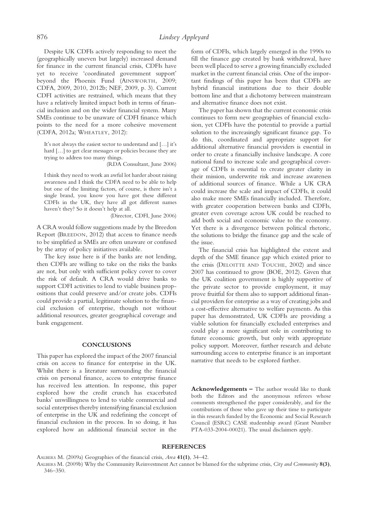Despite UK CDFIs actively responding to meet the (geographically uneven but largely) increased demand for finance in the current financial crisis, CDFIs have yet to receive 'coordinated government support' beyond the Phoenix Fund (AINSWORTH, 2009; CDFA, 2009, 2010, 2012b; NEF, 2009, p. 3). Current CDFI activities are restrained, which means that they have a relatively limited impact both in terms of financial inclusion and on the wider financial system. Many SMEs continue to be unaware of CDFI finance which points to the need for a more cohesive movement (CDFA, 2012a; WHEATLEY, 2012):

It's not always the easiest sector to understand and […] it's hard […] to get clear messages or policies because they are trying to address too many things.

(RDA Consultant, June 2006)

I think they need to work an awful lot harder about raising awareness and I think the CDFA need to be able to help but one of the limiting factors, of course, is there isn't a single brand, you know you have got these different CDFIs in the UK, they have all got different names haven't they? So it doesn't help at all.

(Director, CDFI, June 2006)

A CRA would follow suggestions made by the Breedon Report (BREEDON, 2012) that access to finance needs to be simplified as SMEs are often unaware or confused by the array of policy initiatives available.

The key issue here is if the banks are not lending, then CDFIs are willing to take on the risks the banks are not, but only with sufficient policy cover to cover the risk of default. A CRA would drive banks to support CDFI activities to lend to viable business propositions that could preserve and/or create jobs. CDFIs could provide a partial, legitimate solution to the financial exclusion of enterprise, though not without additional resources, greater geographical coverage and bank engagement.

#### **CONCLUSIONS**

This paper has explored the impact of the 2007 financial crisis on access to finance for enterprise in the UK. Whilst there is a literature surrounding the financial crisis on personal finance, access to enterprise finance has received less attention. In response, this paper explored how the credit crunch has exacerbated banks' unwillingness to lend to viable commercial and social enterprises thereby intensifying financial exclusion of enterprise in the UK and redefining the concept of financial exclusion in the process. In so doing, it has explored how an additional financial sector in the

form of CDFIs, which largely emerged in the 1990s to fill the finance gap created by bank withdrawal, have been well placed to serve a growing financially excluded market in the current financial crisis. One of the important findings of this paper has been that CDFIs are hybrid financial institutions due to their double bottom line and that a dichotomy between mainstream and alternative finance does not exist.

The paper has shown that the current economic crisis continues to form new geographies of financial exclusion, yet CDFIs have the potential to provide a partial solution to the increasingly significant finance gap. To do this, coordinated and appropriate support for additional alternative financial providers is essential in order to create a financially inclusive landscape. A core national fund to increase scale and geographical coverage of CDFIs is essential to create greater clarity in their mission, underwrite risk and increase awareness of additional sources of finance. While a UK CRA could increase the scale and impact of CDFIs, it could also make more SMEs financially included. Therefore, with greater cooperation between banks and CDFIs, greater even coverage across UK could be reached to add both social and economic value to the economy. Yet there is a divergence between political rhetoric, the solutions to bridge the finance gap and the scale of the issue.

The financial crisis has highlighted the extent and depth of the SME finance gap which existed prior to the crisis (DELOITTE AND TOUCHE, 2002) and since 2007 has continued to grow (BOE, 2012). Given that the UK coalition government is highly supportive of the private sector to provide employment, it may prove fruitful for them also to support additional financial providers for enterprise as a way of creating jobs and a cost-effective alternative to welfare payments. As this paper has demonstrated, UK CDFIs are providing a viable solution for financially excluded enterprises and could play a more significant role in contributing to future economic growth, but only with appropriate policy support. Moreover, further research and debate surrounding access to enterprise finance is an important narrative that needs to be explored further.

Acknowledgements – The author would like to thank both the Editors and the anonymous referees whose comments strengthened the paper considerably, and for the contributions of those who gave up their time to participate in this research funded by the Economic and Social Research Council (ESRC) CASE studentship award (Grant Number PTA-033-2004-00021). The usual disclaimers apply.

#### **REFERENCES**

AALBERS M. (2009a) Geographies of the financial crisis, Area 41(1), 34–42.

AALBERS M. (2009b) Why the Community Reinvestment Act cannot be blamed for the subprime crisis, City and Community 8(3), 346–350.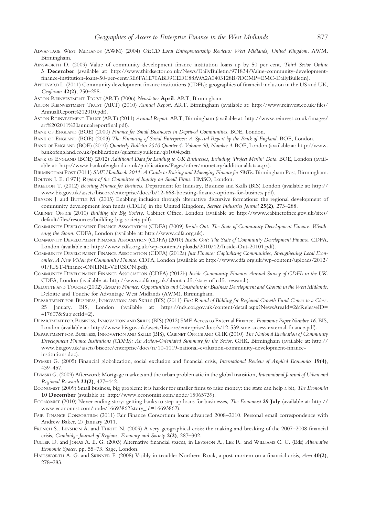- ADVANTAGE WEST MIDLANDS (AWM) (2004) OECD Local Entrepreneurship Reviews: West Midlands, United Kingdom. AWM, Birmingham.
- AINSWORTH D. (2009) Value of community development finance institution loans up by 50 per cent, Third Sector Online 3 December (available at: [http://www.thirdsector.co.uk/News/DailyBulletin/971834/Value-community-development](http://www.thirdsector.co.uk/News/DailyBulletin/971834/Value-community-development-finance-institution-loans-50-per-cent/3E6FA1E70ABD9CEDC88A9A2A0403128B/?DCMP=EMC-DailyBulletin)fi[nance-institution-loans-50-per-cent/3E6FA1E70ABD9CEDC88A9A2A0403128B/?DCMP=EMC-DailyBulletin\)](http://www.thirdsector.co.uk/News/DailyBulletin/971834/Value-community-development-finance-institution-loans-50-per-cent/3E6FA1E70ABD9CEDC88A9A2A0403128B/?DCMP=EMC-DailyBulletin).
- APPLEYARD L. (2011) Community development finance institutions (CDFIs): geographies of financial inclusion in the US and UK, Geoforum **42(2)**, 250-258.

ASTON REINVESTMENT TRUST (ART) (2006) Newsletter April. ART, Birmingham.

- ASTON REINVESTMENT TRUST (ART) (2010) Annual Report. ART, Birmingham (available at: [http://www.reinvest.co.uk/](http://www.reinvest.co.uk/files/AnnualReport%202010.pdf)files/ [AnnualReport%202010.pdf\)](http://www.reinvest.co.uk/files/AnnualReport%202010.pdf).
- ASTON REINVESTMENT TRUST (ART) (2011) Annual Report. ART, Birmingham (available at: [http://www.reinvest.co.uk/images/](http://www.reinvest.co.uk/images/art%202011%20annualreportfinal.pdf) [art%202011%20annualreport](http://www.reinvest.co.uk/images/art%202011%20annualreportfinal.pdf)final.pdf).

BANK OF ENGLAND (BOE) (2000) Finance for Small Businesses in Deprived Communities. BOE, London.

- BANK OF ENGLAND (BOE) (2003) The Financing of Social Enterprises: A Special Report by the Bank of England. BOE, London.
- BANK OF ENGLAND (BOE) (2010) Quarterly Bulletin 2010 Quarter 4. Volume 50, Number 4. BOE, London (available at: [http://www.](http://www.bankofengland.co.uk/publications/quarterlybulletin/qb1004.pdf) [bankofengland.co.uk/publications/quarterlybulletin/qb1004.pdf\)](http://www.bankofengland.co.uk/publications/quarterlybulletin/qb1004.pdf).
- BANK OF ENGLAND (BOE) (2012) Additional Data for Lending to UK Businesses, Including 'Project Merlin' Data. BOE, London (available at:<http://www.bankofengland.co.uk/publications/Pages/other/monetary/additionaldata.aspx>).
- BIRMINGHAM POST (2011) SME Handbook 2011: A Guide to Raising and Managing Finance for SMEs. Birmingham Post, Birmingham. BOLTON J. E. (1971) Report of the Committee of Inquiry on Small Firms. HMSO, London.
- BREEDON T. (2012) Boosting Finance for Business. Department for Industry, Business and Skills (BIS) London (available at: [http://](http://www.bis.gov.uk/assets/biscore/enterprise/docs/b/12-668-boosting-finance-options-for-business.pdf) [www.bis.gov.uk/assets/biscore/enterprise/docs/b/12-668-boosting-](http://www.bis.gov.uk/assets/biscore/enterprise/docs/b/12-668-boosting-finance-options-for-business.pdf)finance-options-for-business.pdf).
- BRYSON J. and BUTTLE M. (2005) Enabling inclusion through alternative discursive formations: the regional development of community development loan funds (CDLFs) in the United Kingdom, Service Industries Journal 25(2), 273–288.
- CABINET OFFICE (2010) Building the Big Society. Cabinet Office, London (available at: [http://www.cabinetof](http://www.cabinetoffice.gov.uk/sites/default/files/resources/building-big-society.pdf)fice.gov.uk/sites/ default/fi[les/resources/building-big-society.pdf\)](http://www.cabinetoffice.gov.uk/sites/default/files/resources/building-big-society.pdf).
- COMMUNITY DEVELOPMENT FINANCE ASSOCIATION (CDFA) (2009) Inside Out: The State of Community Development Finance. Weathering the Storm. CDFA, London (available at:<http://www.cdfa.org.uk>).
- COMMUNITY DEVELOPMENT FINANCE ASSOCIATION (CDFA) (2010) Inside Out: The State of Community Development Finance. CDFA, London (available at:<http://www.cdfa.org.uk/wp-content/uploads/2010/12/Inside-Out-20101.pdf>).
- COMMUNITY DEVELOPMENT FINANCE ASSOCIATION (CDFA) (2012a) Just Finance: Capitalising Communities, Strengthening Local Economies. A New Vision for Community Finance. CDFA, London (available at: [http://www.cdfa.org.uk/wp-content/uploads/2012/](http://www.cdfa.org.uk/wp-content/uploads/2012/01/JUST-Finance-ONLINE-VERSION.pdf) [01/JUST-Finance-ONLINE-VERSION.pdf](http://www.cdfa.org.uk/wp-content/uploads/2012/01/JUST-Finance-ONLINE-VERSION.pdf)).
- COMMUNITY DEVELOPMENT FINANCE ASSOCIATION (CDFA) (2012b) Inside Community Finance: Annual Survey of CDFIs in the UK. CDFA, London (available at: [http://www.cdfa.org.uk/about-cd](http://www.cdfa.org.uk/about-cdfis/state-of-cdfis-research)fis/state-of-cdfis-research).
- DELOITTE AND TOUCHE (2002) Access to Finance: Opportunities and Constraints for Business Development and Growth in the West Midlands. Deloitte and Touche for Advantage West Midlands (AWM), Birmingham.
- DEPARTMENT FOR BUSINESS, INNOVATION AND SKILLS (BIS) (2011) First Round of Bidding for Regional Growth Fund Comes to a Close. 25 January. BIS, London (available at: [https://nds.coi.gov.uk/content/detail.aspx?NewsAreaId=2&ReleaseID=](https://nds.coi.gov.uk/content/detail.aspx?NewsAreaId=2&ReleaseID=417607&SubjectId=2) [417607&SubjectId=2](https://nds.coi.gov.uk/content/detail.aspx?NewsAreaId=2&ReleaseID=417607&SubjectId=2)).
- DEPARTMENT FOR BUSINESS, INNOVATION AND SKILLS (BIS) (2012) SME Access to External Finance. Economics Paper Number 16. BIS, London (available at: [http://www.bis.gov.uk/assets/biscore/enterprise/docs/s/12-539-sme-access-external-](http://www.bis.gov.uk/assets/biscore/enterprise/docs/s/12-539-sme-access-external-finance.pdf)finance.pdf).
- DEPARTMENT FOR BUSINESS, INNOVATION AND SKILLS (BIS), CABINET OFFICE AND GHK (2010) The National Evaluation of Community Development Finance Institutions (CDFIs): An Action-Orientated Summary for the Sector. GHK, Birmingham (available at: [http://](http://www.bis.gov.uk/assets/biscore/enterprise/docs/n/10-1019-national-evaluation-community-development-finance-institutions.doc) [www.bis.gov.uk/assets/biscore/enterprise/docs/n/10-1019-national-evaluation-community-development-](http://www.bis.gov.uk/assets/biscore/enterprise/docs/n/10-1019-national-evaluation-community-development-finance-institutions.doc)finance[institutions.doc](http://www.bis.gov.uk/assets/biscore/enterprise/docs/n/10-1019-national-evaluation-community-development-finance-institutions.doc)).
- DYMSKI G. (2005) Financial globalization, social exclusion and financial crisis, International Review of Applied Economics 19(4), 439–457.
- DYMSKI G. (2009) Afterword: Mortgage markets and the urban problematic in the global transition, International Journal of Urban and Regional Research 33(2), 427–442.
- ECONOMIST (2009) Small business, big problem: it is harder for smaller firms to raise money: the state can help a bit, The Economist 10 December (available at: [http://www.economist.com/node/15065739\)](http://www.economist.com/node/15065739).
- ECONOMIST (2010) Never ending story: getting banks to step up loans for businesses, The Economist 29 July (available at: [http://](http://www.economist.com/node/16693862?story_id=16693862) [www.economist.com/node/16693862?story\\_id=16693862](http://www.economist.com/node/16693862?story_id=16693862)).
- FAIR FINANCE CONSORTIUM (2011) Fair Finance Consortium loans advanced 2008–2010. Personal email correspondence with Andrew Baker, 27 January 2011.
- FRENCH S., LEYSHON A. and THRIFT N. (2009) A very geographical crisis: the making and breaking of the 2007–2008 financial crisis, Cambridge Journal of Regions, Economy and Society 2(2), 287–302.
- FULLER D. and JONAS A. E. G. (2003) Alternative financial spaces, in LEYSHON A., LEE R. and WILLIAMS C. C. (Eds) Alternative Economic Spaces, pp. 55–73. Sage, London.
- HALLSWORTH A. G. and SKINNER F. (2008) Visibly in trouble: Northern Rock, a post-mortem on a financial crisis, Area 40(2), 278–283.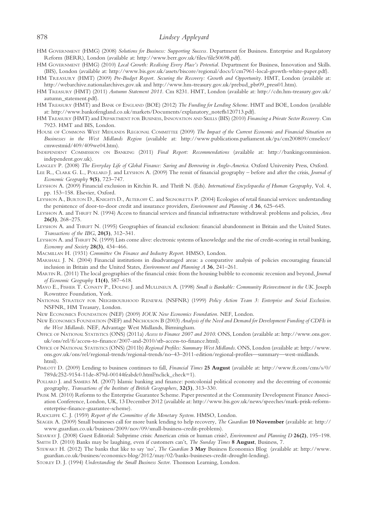### 878 Lindsey Appleyard

- HM GOVERNMENT (HMG) (2008) Solutions for Business: Supporting Success. Department for Business. Enterprise and Regulatory Reform (BERR), London (available at: [http://www.berr.gov.uk/](http://www.berr.gov.uk/files/file50698.pdf)files/file50698.pdf).
- HM GOVERNMENT (HMG) (2010) Local Growth: Realising Every Place's Potential. Department for Business, Innovation and Skills. (BIS), London (available at:<http://www.bis.gov.uk/assets/biscore/regional/docs/l/cm7961-local-growth-white-paper.pdf>).
- HM TREASURY (HMT) (2009) Pre-Budget Report. Securing the Recovery: Growth and Opportunity. HMT, London (available at: <http://webarchive.nationalarchives.gov.uk> and [http://www.hm-treasury.gov.uk/prebud\\_pbr09\\_press01.htm](http://www.hm-treasury.gov.uk/prebud_pbr09_press01.htm)).
- HM TREASURY (HMT) (2011) Autumn Statement 2011. Cm 8231. HMT, London (available at: [http://cdn.hm-treasury.gov.uk/](http://cdn.hm-treasury.gov.uk/autumn_statement.pdf) [autumn\\_statement.pdf\)](http://cdn.hm-treasury.gov.uk/autumn_statement.pdf).
- HM TREASURY (HMT) and BANK OF ENGLAND (BOE) (2012) The Funding for Lending Scheme. HMT and BOE, London (available at: [http://www.bankofengland.co.uk/markets/Documents/explanatory\\_note](http://www.bankofengland.co.uk/markets/Documents/explanatory_notefls120713.pdf)fls120713.pdf).
- HM TREASURY (HMT) and DEPARTMENT FOR BUSINESS, INNOVATION AND SKILLS (BIS) (2010) Financing a Private Sector Recovery. Cm 7923. HMT and BIS, London.
- HOUSE OF COMMONS WEST MIDLANDS REGIONAL COMMITTEE (2009) The Impact of the Current Economic and Financial Situation on Businesses in the West Midlands Region (available at: [http://www.publications.parliament.uk/pa/cm200809/cmselect/](http://www.publications.parliament.uk/pa/cm200809/cmselect/cmwestmid/409/409we04.htm) [cmwestmid/409/409we04.htm\)](http://www.publications.parliament.uk/pa/cm200809/cmselect/cmwestmid/409/409we04.htm).
- INDEPENDENT COMMISSION ON BANKING (2011) Final Report: Recommendations (available at: [http://bankingcommission.](http://bankingcommission.independent.gov.uk) [independent.gov.uk\)](http://bankingcommission.independent.gov.uk).
- LANGLEY P. (2008) The Everyday Life of Global Finance: Saving and Borrowing in Anglo-America. Oxford University Press, Oxford.
- LEE R., CLARK G. L., POLLARD J. and LEYSHON A. (2009) The remit of financial geography before and after the crisis, Journal of Economic Geography 9(5), 723–747.
- LEYSHON A. (2009) Financial exclusion in Kitchin R. and Thrift N. (Eds). International Encyclopaedia of Human Geography, Vol. 4, pp. 153–158. Elsevier, Oxford.
- LEYSHON A., BURTON D., KNIGHTS D., ALTEROFF C. and SIGNORETTA P. (2004) Ecologies of retail financial services: understanding the persistence of door-to-door credit and insurance providers, Environment and Planning A 36, 625–645.

LEYSHON A. and THRIFT N. (1994) Access to financial services and financial infrastructure withdrawal: problems and policies, Area 26(3), 268–275.

- LEYSHON A. and THRIFT N. (1995) Geographies of financial exclusion: financial abandonment in Britain and the United States. Transactions of the IBG, 20(3), 312–341.
- LEYSHON A. and THRIFT N. (1999) Lists come alive: electronic systems of knowledge and the rise of credit-scoring in retail banking, Economy and Society 28(3), 434-466.
- MACMILLAN H. (1931) Committee On Finance and Industry Report. HMSO, London.
- MARSHALL J. N. (2004) Financial institutions in disadvantaged areas: a comparative analysis of policies encouraging financial inclusion in Britain and the United States, Environment and Planning A 36, 241–261.
- MARTIN R. (2011) The local geographies of the financial crisis: from the housing bubble to economic recession and beyond, Journal of Economic Geography 11(4), 587–618.
- MAYO E., FISHER T. CONATY P., DOLING J. and MULLINEUX A. (1998) Small is Bankable: Community Reinvestment in the UK. Joseph Rowntree Foundation, York.
- NATIONAL STRATEGY FOR NEIGHBOURHOOD RENEWAL (NSFNR) (1999) Policy Action Team 3: Enterprise and Social Exclusion. NSFNR, HM Treasury, London.
- NEW ECONOMICS FOUNDATION (NEF) (2009) IOUK New Economics Foundation. NEF, London.
- NEW ECONOMICS FOUNDATION (NEF) and NICHOLSON B (2003) Analysis of the Need and Demand for Development Funding of CDFIs in the West Midlands. NEF, Advantage West Midlands, Birmingham.
- OFFICE OF NATIONAL STATISTICS (ONS) (2011a) Access to Finance 2007 and 2010. ONS, London (available at: [http://www.ons.gov.](http://www.ons.gov.uk/ons/rel/fi/access-to-finance/2007-and-2010/stb-access-to-finance.html) uk/ons/rel/fi/access-to-fi[nance/2007-and-2010/stb-access-to-](http://www.ons.gov.uk/ons/rel/fi/access-to-finance/2007-and-2010/stb-access-to-finance.html)finance.html).
- OFFICE OF NATIONAL STATISTICS (ONS) (2011b) Regional Profiles: Summary West Midlands. ONS, London (available at: [http://www.](http://www.ons.gov.uk/ons/rel/regional-trends/regional-trends/no–43–2011-edition/regional-profiles—summary—west-midlands.html) [ons.gov.uk/ons/rel/regional-trends/regional-trends/no](http://www.ons.gov.uk/ons/rel/regional-trends/regional-trends/no–43–2011-edition/regional-profiles—summary—west-midlands.html)–43–2011-edition/regional-profiles—summary—west-midlands. [html\)](http://www.ons.gov.uk/ons/rel/regional-trends/regional-trends/no–43–2011-edition/regional-profiles—summary—west-midlands.html).
- PIMLOTT D. (2009) Lending to business continues to fall, Financial Times 25 August (available at: [http://www.ft.com/cms/s/0/](http://www.ft.com/cms/s/0/789dc252-9154-11de-879d-00144feabdc0.html?nclick_check=1) [789dc252-9154-11de-879d-00144feabdc0.html?nclick\\_check=1](http://www.ft.com/cms/s/0/789dc252-9154-11de-879d-00144feabdc0.html?nclick_check=1)).
- POLLARD J. and SAMERS M. (2007) Islamic banking and finance: postcolonial political economy and the decentring of economic geography, Transactions of the Institute of British Geographers, 32(3), 313–330.
- PRISK M. (2010) Reforms to the Enterprise Guarantee Scheme. Paper presented at the Community Development Finance Association Conference, London, UK, 13 December 2012 (available at: [http://www.bis.gov.uk/news/speeches/mark-prisk-reform](http://www.bis.gov.uk/news/speeches/mark-prisk-reform-enterprise-finance-guarantee-scheme)enterprise-fi[nance-guarantee-scheme](http://www.bis.gov.uk/news/speeches/mark-prisk-reform-enterprise-finance-guarantee-scheme)).
- RADCLIFFE C. J. (1959) Report of the Committee of the Monetary System. HMSO, London.
- SEAGER A. (2009) Small businesses call for more bank lending to help recovery, The Guardian 10 November (available at: [http://](http://www.guardian.co.uk/business/2009/nov/09/small-business-credit-problems) [www.guardian.co.uk/business/2009/nov/09/small-business-credit-problems\)](http://www.guardian.co.uk/business/2009/nov/09/small-business-credit-problems).

SIDAWAY J. (2008) Guest Editorial: Subprime crisis: American crisis or human crisis?, Environment and Planning D 26(2), 195–198. SMITH D. (2010) Banks may be laughing, even if customers can't, The Sunday Times 8 August, Business, 7.

- STEWART H. (2012) The banks that like to say 'no', The Guardian 3 May Business Economics Blog (available at: [http://www.](http://www.guardian.co.uk/business/economics-blog/2012/may/02/banks-busineses-credit-drought-lending) [guardian.co.uk/business/economics-blog/2012/may/02/banks-busineses-credit-drought-lending\)](http://www.guardian.co.uk/business/economics-blog/2012/may/02/banks-busineses-credit-drought-lending).
- STOREY D. J. (1994) Understanding the Small Business Sector. Thomson Learning, London.